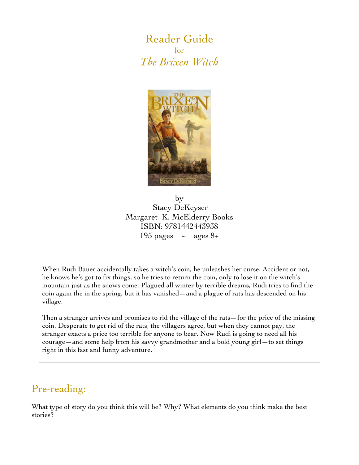Reader Guide for *The Brixen Witch*



by Stacy DeKeyser Margaret K. McElderry Books ISBN: 9781442443938 195 pages  $\sim$  ages 8+

When Rudi Bauer accidentally takes a witch's coin, he unleashes her curse. Accident or not, he knows he's got to fix things, so he tries to return the coin, only to lose it on the witch's mountain just as the snows come. Plagued all winter by terrible dreams, Rudi tries to find the coin again the in the spring, but it has vanished—and a plague of rats has descended on his village.

Then a stranger arrives and promises to rid the village of the rats—for the price of the missing coin. Desperate to get rid of the rats, the villagers agree, but when they cannot pay, the stranger exacts a price too terrible for anyone to bear. Now Rudi is going to need all his courage—and some help from his savvy grandmother and a bold young girl—to set things right in this fast and funny adventure.

# Pre-reading:

What type of story do you think this will be? Why? What elements do you think make the best stories?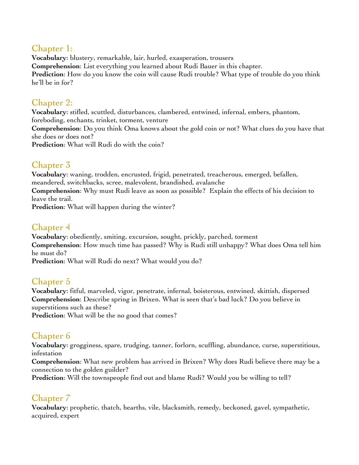### Chapter 1:

**Vocabulary**: blustery, remarkable, lair, hurled, exasperation, trousers **Comprehension**: List everything you learned about Rudi Bauer in this chapter. **Prediction**: How do you know the coin will cause Rudi trouble? What type of trouble do you think he'll be in for?

#### Chapter 2:

**Vocabulary**: stifled, scuttled, disturbances, clambered, entwined, infernal, embers, phantom, foreboding, enchants, trinket, torment, venture **Comprehension**: Do you think Oma knows about the gold coin or not? What clues do you have that she does or does not? **Prediction**: What will Rudi do with the coin?

## Chapter 3

**Vocabulary**: waning, trodden, encrusted, frigid, penetrated, treacherous, emerged, befallen, meandered, switchbacks, scree, malevolent, brandished, avalanche **Comprehension**: Why must Rudi leave as soon as possible? Explain the effects of his decision to

leave the trail. **Prediction**: What will happen during the winter?

Chapter 4

**Vocabulary**: obediently, smiting, excursion, sought, prickly, parched, torment **Comprehension**: How much time has passed? Why is Rudi still unhappy? What does Oma tell him he must do?

**Prediction**: What will Rudi do next? What would you do?

#### Chapter 5

**Vocabulary**: fitful, marveled, vigor, penetrate, infernal, boisterous, entwined, skittish, dispersed **Comprehension**: Describe spring in Brixen. What is seen that's bad luck? Do you believe in superstitions such as these?

**Prediction:** What will be the no good that comes?

## Chapter 6

**Vocabulary**: grogginess, spare, trudging, tanner, forlorn, scuffling, abundance, curse, superstitious, infestation

**Comprehension**: What new problem has arrived in Brixen? Why does Rudi believe there may be a connection to the golden guilder?

**Prediction**: Will the townspeople find out and blame Rudi? Would you be willing to tell?

# Chapter 7

**Vocabulary**: prophetic, thatch, hearths, vile, blacksmith, remedy, beckoned, gavel, sympathetic, acquired, expert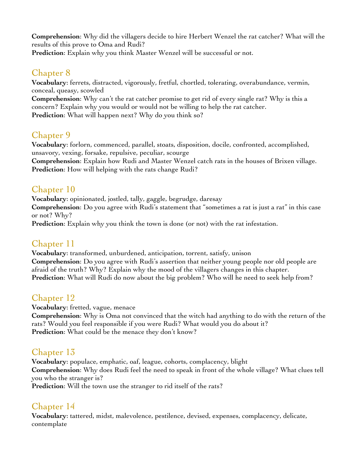**Comprehension**: Why did the villagers decide to hire Herbert Wenzel the rat catcher? What will the results of this prove to Oma and Rudi?

**Prediction**: Explain why you think Master Wenzel will be successful or not.

#### Chapter 8

**Vocabulary**: ferrets, distracted, vigorously, fretful, chortled, tolerating, overabundance, vermin, conceal, queasy, scowled

**Comprehension**: Why can't the rat catcher promise to get rid of every single rat? Why is this a concern? Explain why you would or would not be willing to help the rat catcher. **Prediction**: What will happen next? Why do you think so?

### Chapter 9

**Vocabulary**: forlorn, commenced, parallel, stoats, disposition, docile, confronted, accomplished, unsavory, vexing, forsake, repulsive, peculiar, scourge

**Comprehension**: Explain how Rudi and Master Wenzel catch rats in the houses of Brixen village. **Prediction**: How will helping with the rats change Rudi?

#### Chapter 10

**Vocabulary**: opinionated, jostled, tally, gaggle, begrudge, daresay **Comprehension**: Do you agree with Rudi's statement that "sometimes a rat is just a rat" in this case or not? Why?

**Prediction**: Explain why you think the town is done (or not) with the rat infestation.

#### Chapter 11

**Vocabulary**: transformed, unburdened, anticipation, torrent, satisfy, unison **Comprehension**: Do you agree with Rudi's assertion that neither young people nor old people are afraid of the truth? Why? Explain why the mood of the villagers changes in this chapter. **Prediction**: What will Rudi do now about the big problem? Who will he need to seek help from?

## Chapter 12

**Vocabulary**: fretted, vague, menace

**Comprehension**: Why is Oma not convinced that the witch had anything to do with the return of the rats? Would you feel responsible if you were Rudi? What would you do about it? **Prediction**: What could be the menace they don't know?

## Chapter 13

**Vocabulary**: populace, emphatic, oaf, league, cohorts, complacency, blight **Comprehension**: Why does Rudi feel the need to speak in front of the whole village? What clues tell you who the stranger is?

**Prediction**: Will the town use the stranger to rid itself of the rats?

# Chapter 14

**Vocabulary**: tattered, midst, malevolence, pestilence, devised, expenses, complacency, delicate, contemplate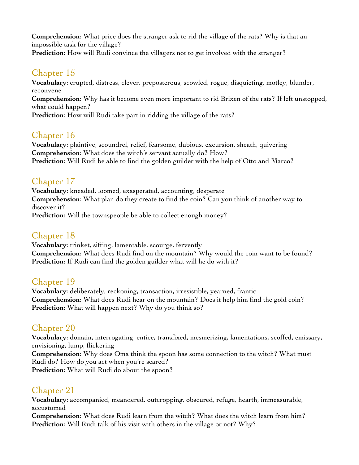**Comprehension**: What price does the stranger ask to rid the village of the rats? Why is that an impossible task for the village?

**Prediction**: How will Rudi convince the villagers not to get involved with the stranger?

#### Chapter 15

**Vocabulary**: erupted, distress, clever, preposterous, scowled, rogue, disquieting, motley, blunder, reconvene

**Comprehension**: Why has it become even more important to rid Brixen of the rats? If left unstopped, what could happen?

**Prediction**: How will Rudi take part in ridding the village of the rats?

## Chapter 16

**Vocabulary**: plaintive, scoundrel, relief, fearsome, dubious, excursion, sheath, quivering **Comprehension**: What does the witch's servant actually do? How? **Prediction**: Will Rudi be able to find the golden guilder with the help of Otto and Marco?

## Chapter 17

**Vocabulary**: kneaded, loomed, exasperated, accounting, desperate **Comprehension**: What plan do they create to find the coin? Can you think of another way to discover it?

**Prediction**: Will the townspeople be able to collect enough money?

## Chapter 18

**Vocabulary**: trinket, sifting, lamentable, scourge, fervently **Comprehension**: What does Rudi find on the mountain? Why would the coin want to be found? **Prediction**: If Rudi can find the golden guilder what will he do with it?

#### Chapter 19

**Vocabulary**: deliberately, reckoning, transaction, irresistible, yearned, frantic **Comprehension**: What does Rudi hear on the mountain? Does it help him find the gold coin? **Prediction**: What will happen next? Why do you think so?

## Chapter 20

**Vocabulary**: domain, interrogating, entice, transfixed, mesmerizing, lamentations, scoffed, emissary, envisioning, lump, flickering

**Comprehension**: Why does Oma think the spoon has some connection to the witch? What must Rudi do? How do you act when you're scared?

**Prediction**: What will Rudi do about the spoon?

# Chapter 21

**Vocabulary**: accompanied, meandered, outcropping, obscured, refuge, hearth, immeasurable, accustomed

**Comprehension**: What does Rudi learn from the witch? What does the witch learn from him? **Prediction**: Will Rudi talk of his visit with others in the village or not? Why?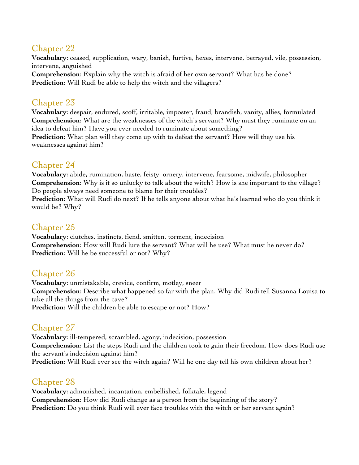#### Chapter 22

**Vocabulary**: ceased, supplication, wary, banish, furtive, hexes, intervene, betrayed, vile, possession, intervene, anguished

**Comprehension**: Explain why the witch is afraid of her own servant? What has he done? **Prediction**: Will Rudi be able to help the witch and the villagers?

## Chapter 23

**Vocabulary**: despair, endured, scoff, irritable, imposter, fraud, brandish, vanity, allies, formulated **Comprehension**: What are the weaknesses of the witch's servant? Why must they ruminate on an idea to defeat him? Have you ever needed to ruminate about something? **Prediction**: What plan will they come up with to defeat the servant? How will they use his

weaknesses against him?

### Chapter 24

**Vocabulary**: abide, rumination, haste, feisty, ornery, intervene, fearsome, midwife, philosopher **Comprehension**: Why is it so unlucky to talk about the witch? How is she important to the village? Do people always need someone to blame for their troubles?

**Prediction**: What will Rudi do next? If he tells anyone about what he's learned who do you think it would be? Why?

### Chapter 25

**Vocabulary**: clutches, instincts, fiend, smitten, torment, indecision **Comprehension**: How will Rudi lure the servant? What will he use? What must he never do? **Prediction**: Will he be successful or not? Why?

## Chapter 26

**Vocabulary**: unmistakable, crevice, confirm, motley, sneer **Comprehension**: Describe what happened so far with the plan. Why did Rudi tell Susanna Louisa to take all the things from the cave? **Prediction**: Will the children be able to escape or not? How?

# Chapter 27

**Vocabulary**: ill-tempered, scrambled, agony, indecision, possession **Comprehension**: List the steps Rudi and the children took to gain their freedom. How does Rudi use the servant's indecision against him? **Prediction**: Will Rudi ever see the witch again? Will he one day tell his own children about her?

## Chapter 28

**Vocabulary**: admonished, incantation, embellished, folktale, legend **Comprehension**: How did Rudi change as a person from the beginning of the story? **Prediction**: Do you think Rudi will ever face troubles with the witch or her servant again?